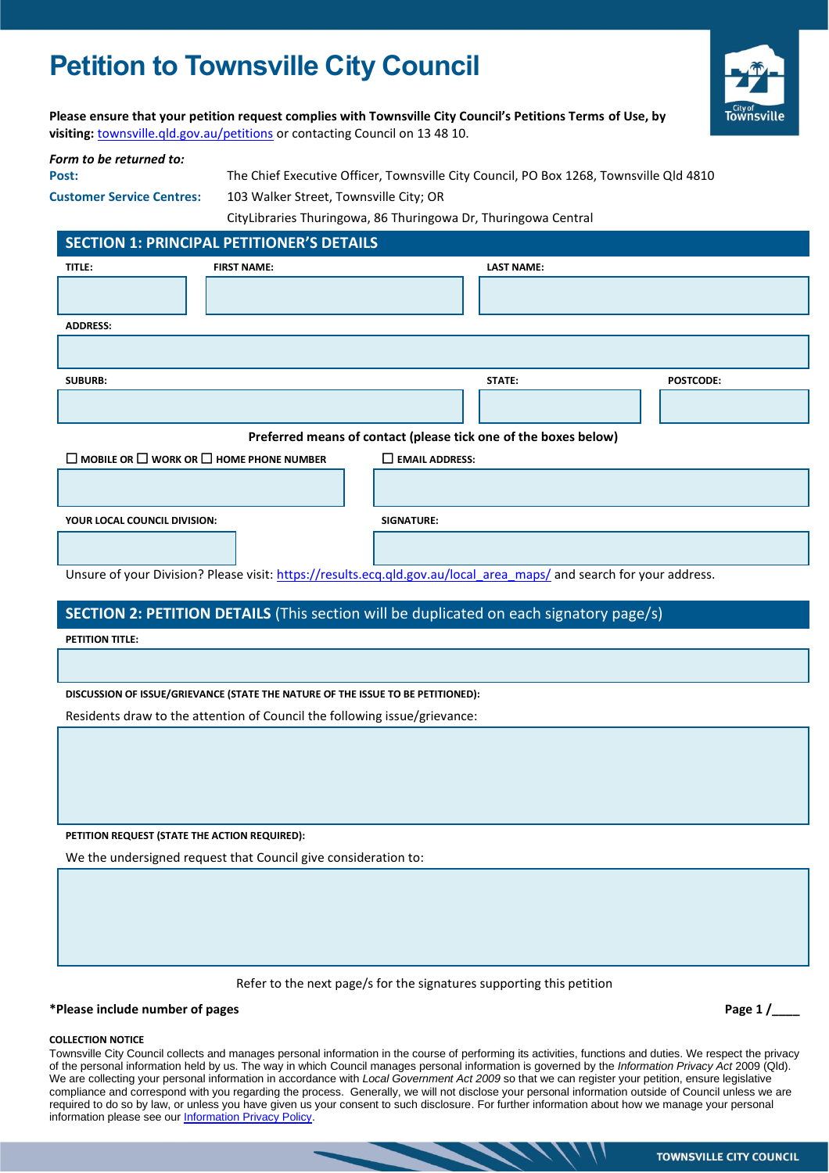# **Petition to Townsville City Council**



**Please ensure that your petition request complies with Townsville City Council's Petitions Terms of Use, by visiting:** [townsville.qld.gov.au/petitions](http://www.townsville.qld.gov.au/petitions) or contacting Council on 13 48 10.

#### *Form to be returned to:*

**Post:** The Chief Executive Officer, Townsville City Council, PO Box 1268, Townsville Qld 4810 **Customer Service Centres:** 103 Walker Street, Townsville City; OR

CityLibraries Thuringowa, 86 Thuringowa Dr, Thuringowa Central

## **SECTION 1: PRINCIPAL PETITIONER'S DETAILS**

| TITLE:                                                                                                              | <b>FIRST NAME:</b> |                          | <b>LAST NAME:</b> |                  |  |  |  |
|---------------------------------------------------------------------------------------------------------------------|--------------------|--------------------------|-------------------|------------------|--|--|--|
|                                                                                                                     |                    |                          |                   |                  |  |  |  |
| <b>ADDRESS:</b>                                                                                                     |                    |                          |                   |                  |  |  |  |
|                                                                                                                     |                    |                          |                   |                  |  |  |  |
| <b>SUBURB:</b>                                                                                                      |                    |                          | STATE:            | <b>POSTCODE:</b> |  |  |  |
|                                                                                                                     |                    |                          |                   |                  |  |  |  |
| Preferred means of contact (please tick one of the boxes below)                                                     |                    |                          |                   |                  |  |  |  |
| $\Box$ MOBILE OR $\Box$ WORK OR $\Box$ HOME PHONE NUMBER                                                            |                    | $\square$ EMAIL ADDRESS: |                   |                  |  |  |  |
|                                                                                                                     |                    |                          |                   |                  |  |  |  |
| YOUR LOCAL COUNCIL DIVISION:                                                                                        |                    | <b>SIGNATURE:</b>        |                   |                  |  |  |  |
|                                                                                                                     |                    |                          |                   |                  |  |  |  |
| Unsure of your Division? Please visit: https://results.ecq.qld.gov.au/local area maps/ and search for your address. |                    |                          |                   |                  |  |  |  |

## **SECTION 2: PETITION DETAILS** (This section will be duplicated on each signatory page/s)

**PETITION TITLE:**

### **DISCUSSION OF ISSUE/GRIEVANCE (STATE THE NATURE OF THE ISSUE TO BE PETITIONED):**

Residents draw to the attention of Council the following issue/grievance:

**PETITION REQUEST (STATE THE ACTION REQUIRED):**

We the undersigned request that Council give consideration to:

Refer to the next page/s for the signatures supporting this petition

#### **\*Please include number of pages Page 1 /\_\_\_\_**

#### **COLLECTION NOTICE**

Townsville City Council collects and manages personal information in the course of performing its activities, functions and duties. We respect the privacy of the personal information held by us. The way in which Council manages personal information is governed by the *Information Privacy Act* 2009 (Qld). We are collecting your personal information in accordance with *Local Government Act 2009* so that we can register your petition, ensure legislative compliance and correspond with you regarding the process. Generally, we will not disclose your personal information outside of Council unless we are required to do so by law, or unless you have given us your consent to such disclosure. For further information about how we manage your personal information please see our **Information Privacy Policy**.